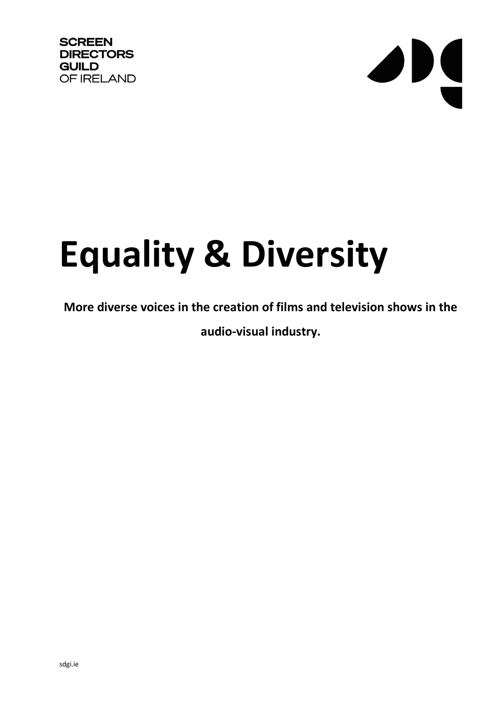

# JN

## **Equality & Diversity**

### **More diverse voices in the creation of films and television shows in the audio-visual industry.**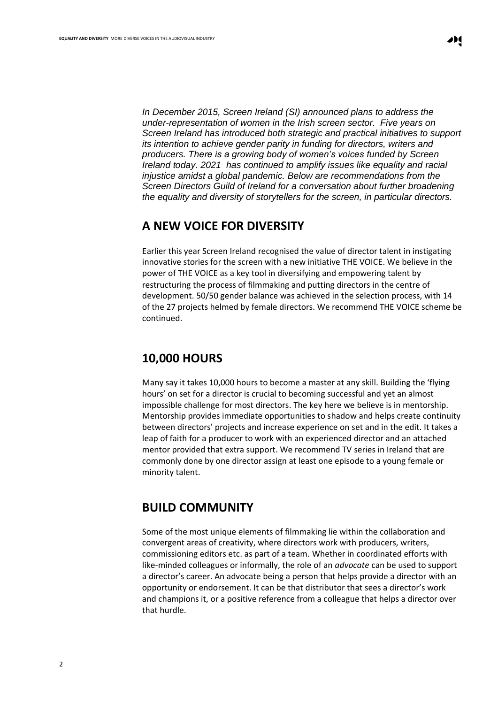*In December 2015, Screen Ireland (SI) announced plans to address the under-representation of women in the Irish screen sector. Five years on Screen Ireland has introduced both strategic and practical initiatives to support its intention to achieve gender parity in funding for directors, writers and producers. There is a growing body of women's voices funded by Screen Ireland today. 2021 has continued to amplify issues like equality and racial injustice amidst a global pandemic. Below are recommendations from the Screen Directors Guild of Ireland for a conversation about further broadening the equality and diversity of storytellers for the screen, in particular directors.* 

#### **A NEW VOICE FOR DIVERSITY**

Earlier this year Screen Ireland recognised the value of director talent in instigating innovative stories for the screen with a new initiative THE VOICE. We believe in the power of THE VOICE as a key tool in diversifying and empowering talent by restructuring the process of filmmaking and putting directors in the centre of development. 50/50 gender balance was achieved in the selection process, with 14 of the 27 projects helmed by female directors. We recommend THE VOICE scheme be continued.

#### **10,000 HOURS**

Many say it takes 10,000 hours to become a master at any skill. Building the 'flying hours' on set for a director is crucial to becoming successful and yet an almost impossible challenge for most directors. The key here we believe is in mentorship. Mentorship provides immediate opportunities to shadow and helps create continuity between directors' projects and increase experience on set and in the edit. It takes a leap of faith for a producer to work with an experienced director and an attached mentor provided that extra support. We recommend TV series in Ireland that are commonly done by one director assign at least one episode to a young female or minority talent.

#### **BUILD COMMUNITY**

Some of the most unique elements of filmmaking lie within the collaboration and convergent areas of creativity, where directors work with producers, writers, commissioning editors etc. as part of a team. Whether in coordinated efforts with like-minded colleagues or informally, the role of an *advocate* can be used to support a director's career. An advocate being a person that helps provide a director with an opportunity or endorsement. It can be that distributor that sees a director's work and champions it, or a positive reference from a colleague that helps a director over that hurdle.